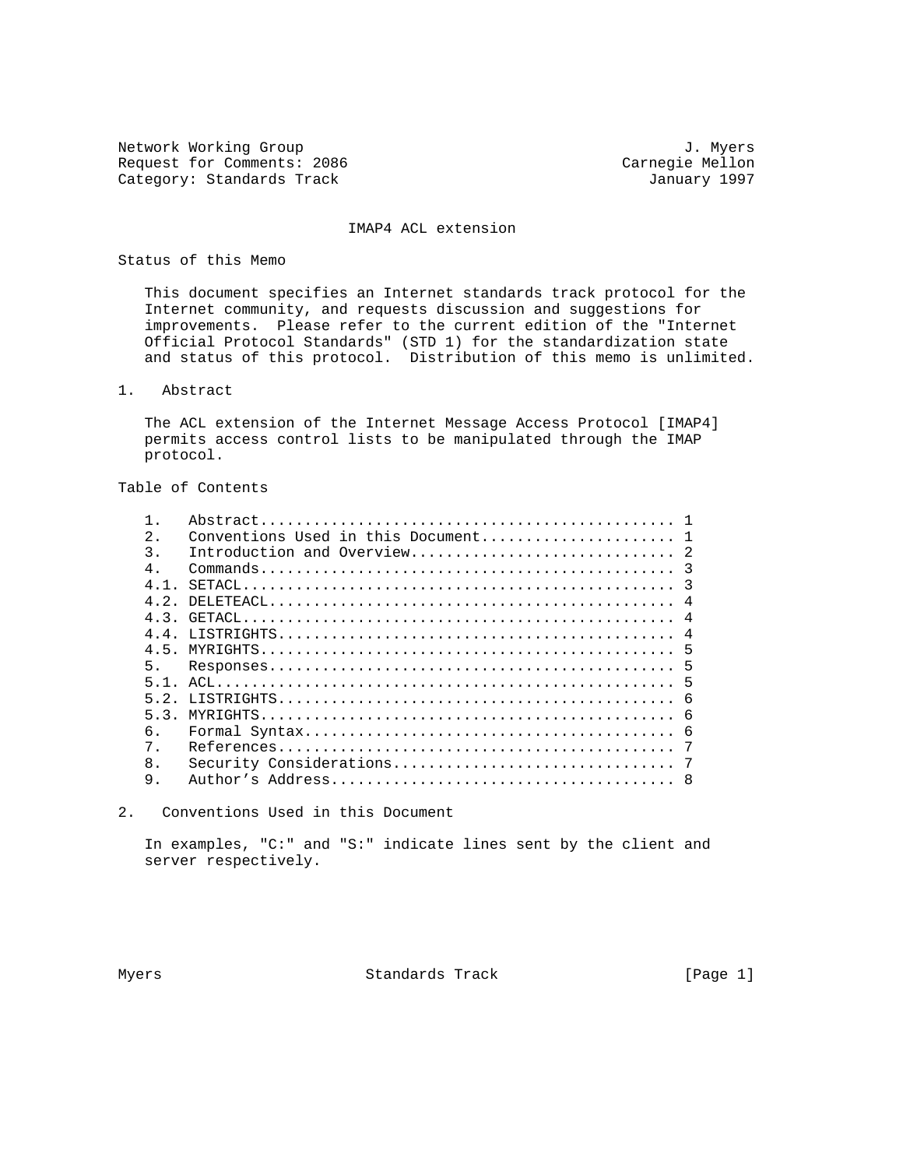Network Working Group 3. 2008 3. Myers Request for Comments: 2086 Carnegie Mellon Carnegie Mellon Category: Standards Track Category: Standards Track

#### IMAP4 ACL extension

#### Status of this Memo

 This document specifies an Internet standards track protocol for the Internet community, and requests discussion and suggestions for improvements. Please refer to the current edition of the "Internet Official Protocol Standards" (STD 1) for the standardization state and status of this protocol. Distribution of this memo is unlimited.

1. Abstract

 The ACL extension of the Internet Message Access Protocol [IMAP4] permits access control lists to be manipulated through the IMAP protocol.

Table of Contents

| 2.    |             |    |
|-------|-------------|----|
| 3.    |             |    |
| $4$ . |             |    |
| 4.1.  |             |    |
| 4 2   | $DELETEACL$ | -4 |
| 43    |             |    |
| 44    |             |    |
|       |             |    |
| 5.    |             |    |
| 5 1   |             |    |
| 52    |             |    |
| 53    |             |    |
| б.    |             |    |
| 7.    |             |    |
| 8.    |             |    |
| 9.    |             |    |
|       |             |    |

2. Conventions Used in this Document

 In examples, "C:" and "S:" indicate lines sent by the client and server respectively.

Myers **Standards Track** [Page 1]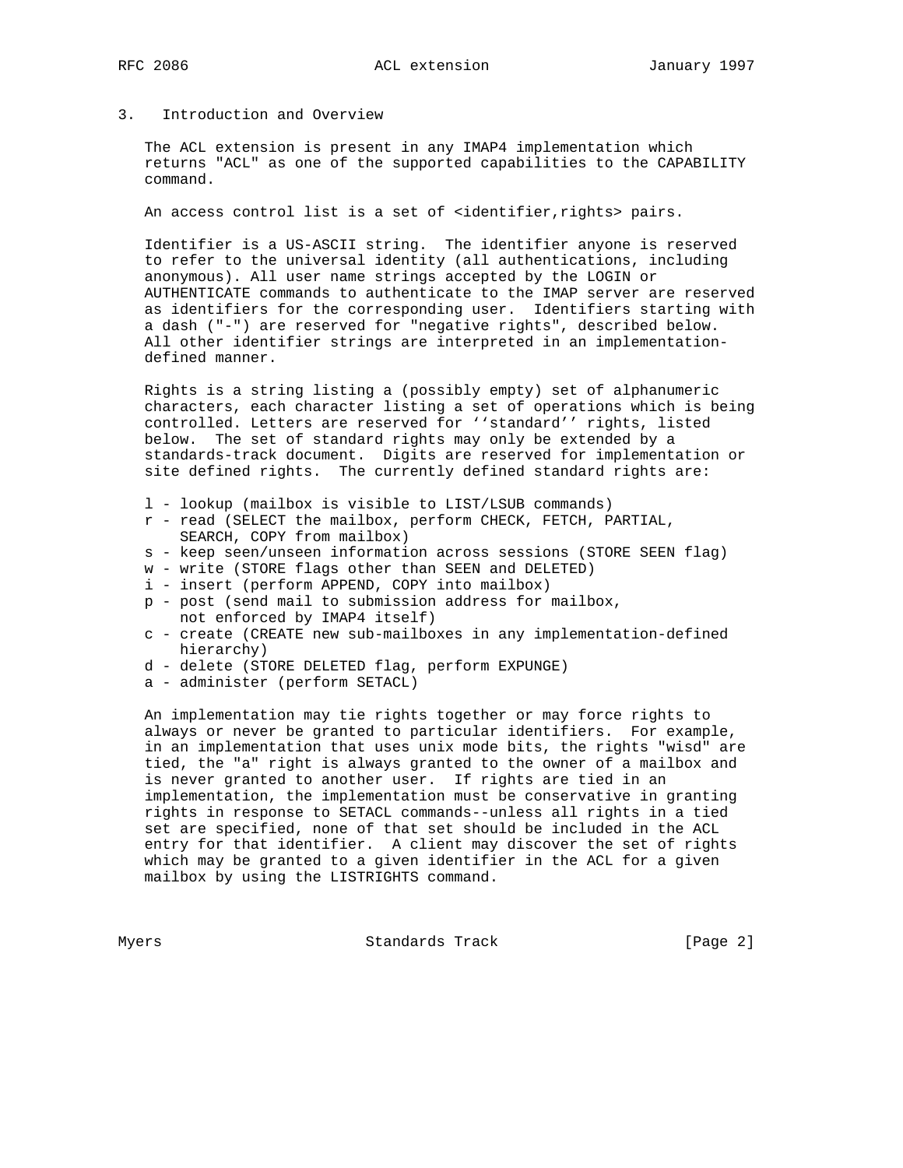# 3. Introduction and Overview

 The ACL extension is present in any IMAP4 implementation which returns "ACL" as one of the supported capabilities to the CAPABILITY command.

An access control list is a set of <identifier, rights> pairs.

 Identifier is a US-ASCII string. The identifier anyone is reserved to refer to the universal identity (all authentications, including anonymous). All user name strings accepted by the LOGIN or AUTHENTICATE commands to authenticate to the IMAP server are reserved as identifiers for the corresponding user. Identifiers starting with a dash ("-") are reserved for "negative rights", described below. All other identifier strings are interpreted in an implementation defined manner.

 Rights is a string listing a (possibly empty) set of alphanumeric characters, each character listing a set of operations which is being controlled. Letters are reserved for ''standard'' rights, listed below. The set of standard rights may only be extended by a standards-track document. Digits are reserved for implementation or site defined rights. The currently defined standard rights are:

- l lookup (mailbox is visible to LIST/LSUB commands)
- r read (SELECT the mailbox, perform CHECK, FETCH, PARTIAL, SEARCH, COPY from mailbox)
- s keep seen/unseen information across sessions (STORE SEEN flag)
- w write (STORE flags other than SEEN and DELETED)
- i insert (perform APPEND, COPY into mailbox)
- p post (send mail to submission address for mailbox, not enforced by IMAP4 itself)
- c create (CREATE new sub-mailboxes in any implementation-defined hierarchy)
- d delete (STORE DELETED flag, perform EXPUNGE)
- a administer (perform SETACL)

 An implementation may tie rights together or may force rights to always or never be granted to particular identifiers. For example, in an implementation that uses unix mode bits, the rights "wisd" are tied, the "a" right is always granted to the owner of a mailbox and is never granted to another user. If rights are tied in an implementation, the implementation must be conservative in granting rights in response to SETACL commands--unless all rights in a tied set are specified, none of that set should be included in the ACL entry for that identifier. A client may discover the set of rights which may be granted to a given identifier in the ACL for a given mailbox by using the LISTRIGHTS command.

Myers Standards Track [Page 2]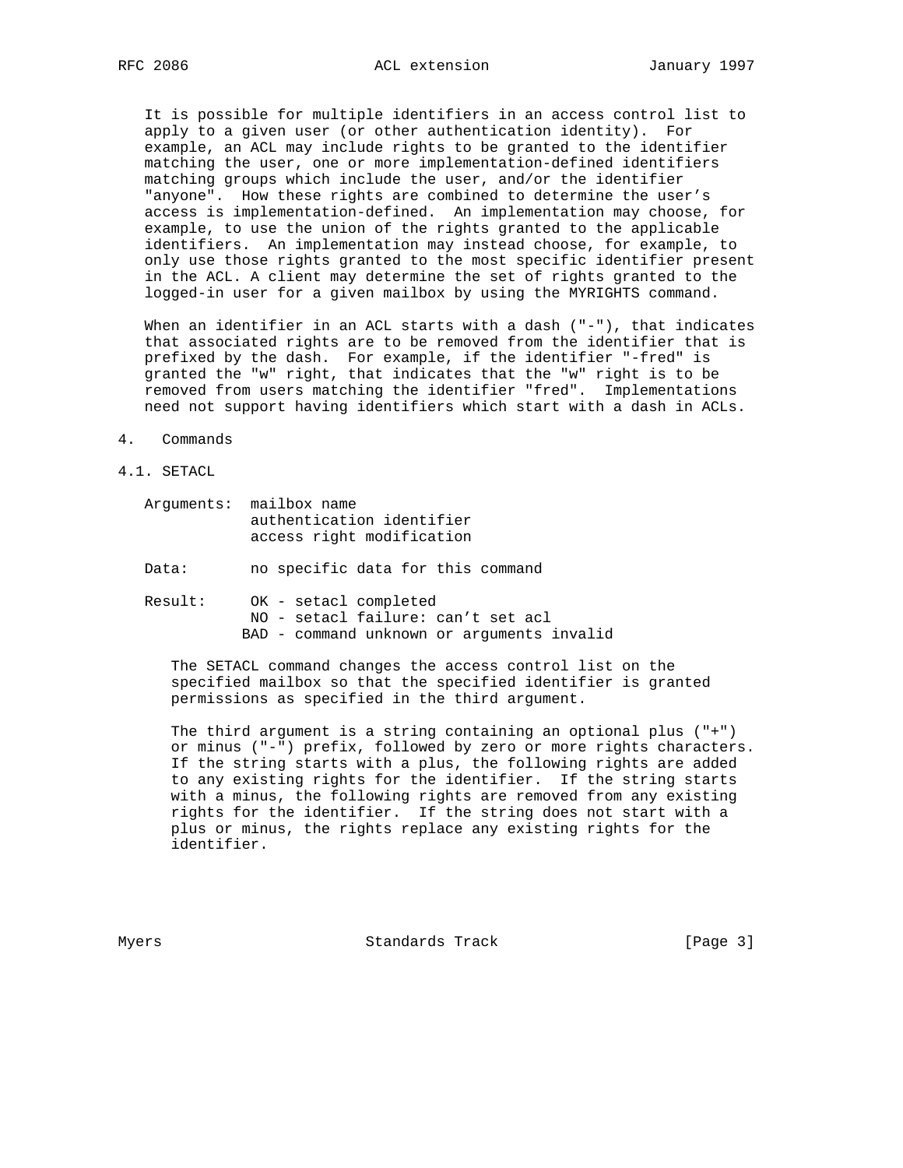It is possible for multiple identifiers in an access control list to apply to a given user (or other authentication identity). For example, an ACL may include rights to be granted to the identifier matching the user, one or more implementation-defined identifiers matching groups which include the user, and/or the identifier "anyone". How these rights are combined to determine the user's access is implementation-defined. An implementation may choose, for example, to use the union of the rights granted to the applicable identifiers. An implementation may instead choose, for example, to only use those rights granted to the most specific identifier present in the ACL. A client may determine the set of rights granted to the logged-in user for a given mailbox by using the MYRIGHTS command.

When an identifier in an ACL starts with a dash ("-"), that indicates that associated rights are to be removed from the identifier that is prefixed by the dash. For example, if the identifier "-fred" is granted the "w" right, that indicates that the "w" right is to be removed from users matching the identifier "fred". Implementations need not support having identifiers which start with a dash in ACLs.

- 4. Commands
- 4.1. SETACL

|       | Arquments: mailbox name<br>authentication identifier<br>access right modification |
|-------|-----------------------------------------------------------------------------------|
| Data: | no specific data for this command                                                 |

 Result: OK - setacl completed NO - setacl failure: can't set acl BAD - command unknown or arguments invalid

 The SETACL command changes the access control list on the specified mailbox so that the specified identifier is granted permissions as specified in the third argument.

 The third argument is a string containing an optional plus ("+") or minus ("-") prefix, followed by zero or more rights characters. If the string starts with a plus, the following rights are added to any existing rights for the identifier. If the string starts with a minus, the following rights are removed from any existing rights for the identifier. If the string does not start with a plus or minus, the rights replace any existing rights for the identifier.

Myers **Standards Track** [Page 3]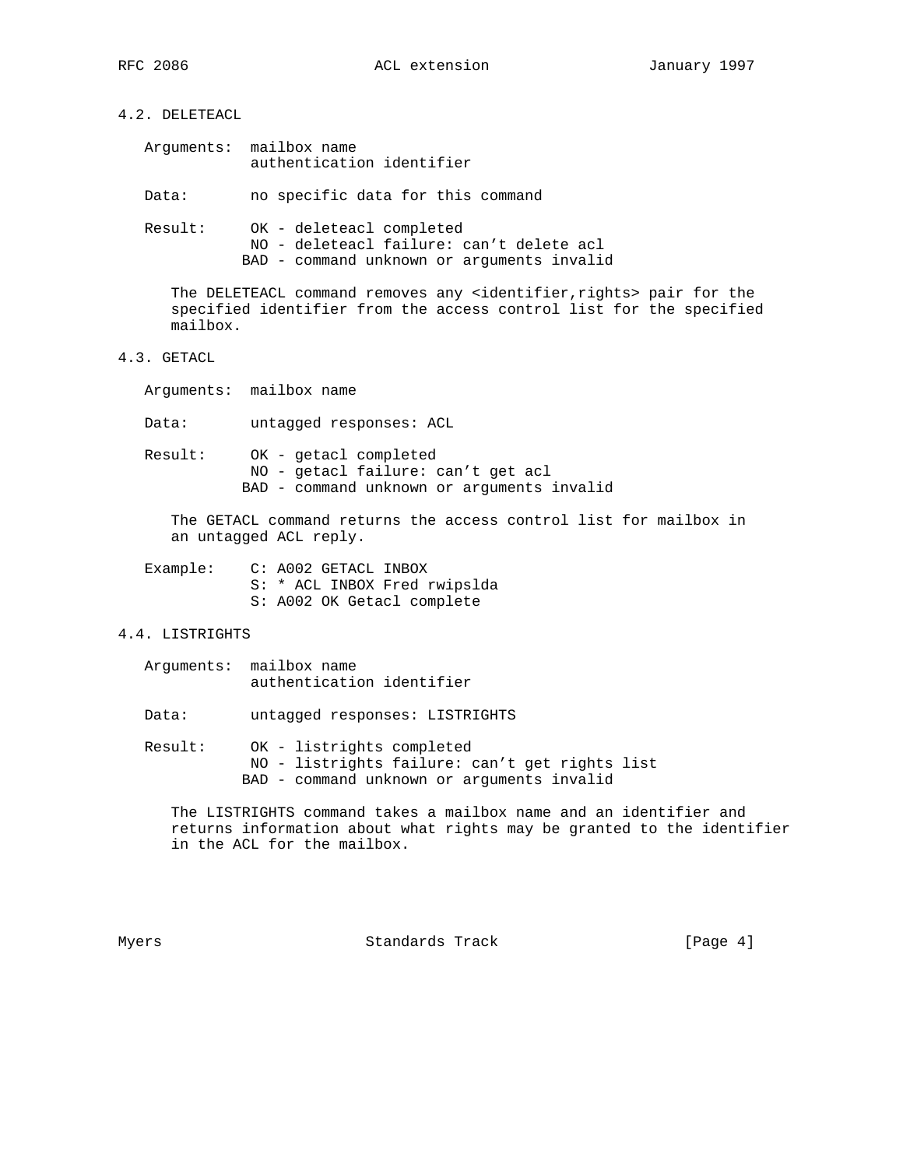4.2. DELETEACL

| Arquments: | mailbox name              |  |
|------------|---------------------------|--|
|            | authentication identifier |  |

Data: no specific data for this command

 Result: OK - deleteacl completed NO - deleteacl failure: can't delete acl BAD - command unknown or arguments invalid

The DELETEACL command removes any <identifier, rights> pair for the specified identifier from the access control list for the specified mailbox.

## 4.3. GETACL

Arguments: mailbox name

Data: untagged responses: ACL

 Result: OK - getacl completed NO - getacl failure: can't get acl BAD - command unknown or arguments invalid

 The GETACL command returns the access control list for mailbox in an untagged ACL reply.

| Example: | C: A002 GETACL INBOX         |
|----------|------------------------------|
|          | S: * ACL INBOX Fred rwipslda |
|          | S: A002 OK Getacl complete   |

## 4.4. LISTRIGHTS

| Arquments: | mailbox name              |  |
|------------|---------------------------|--|
|            | authentication identifier |  |

Data: untagged responses: LISTRIGHTS

 Result: OK - listrights completed NO - listrights failure: can't get rights list BAD - command unknown or arguments invalid

 The LISTRIGHTS command takes a mailbox name and an identifier and returns information about what rights may be granted to the identifier in the ACL for the mailbox.

Myers **Standards Track** [Page 4]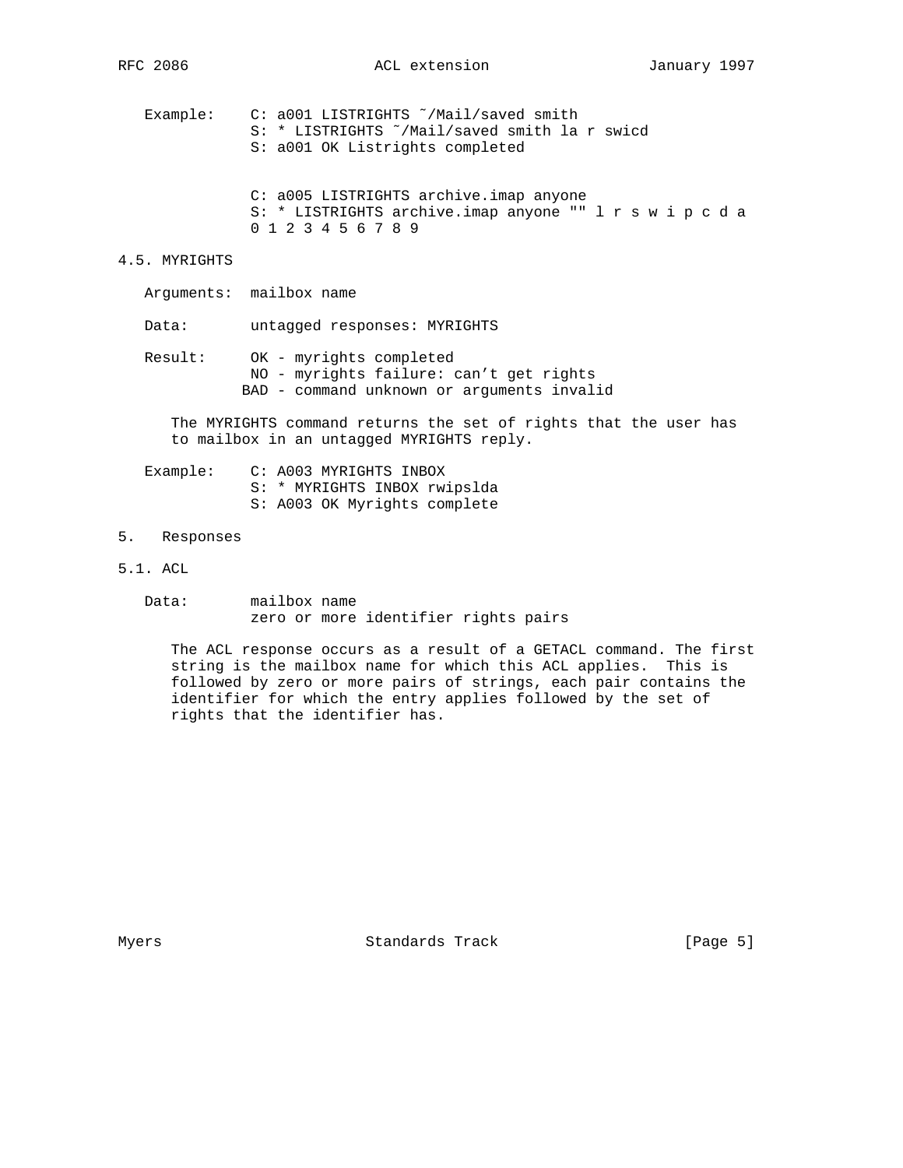Example: C: a001 LISTRIGHTS ˜/Mail/saved smith S: \* LISTRIGHTS ˜/Mail/saved smith la r swicd S: a001 OK Listrights completed

 C: a005 LISTRIGHTS archive.imap anyone S: \* LISTRIGHTS archive.imap anyone "" l r s w i p c d a 0 1 2 3 4 5 6 7 8 9

#### 4.5. MYRIGHTS

Arguments: mailbox name

Data: untagged responses: MYRIGHTS

 Result: OK - myrights completed NO - myrights failure: can't get rights BAD - command unknown or arguments invalid

 The MYRIGHTS command returns the set of rights that the user has to mailbox in an untagged MYRIGHTS reply.

| Example: | C: A003 MYRIGHTS INBOX       |
|----------|------------------------------|
|          | S: * MYRIGHTS INBOX rwipslda |
|          | S: A003 OK Myrights complete |

- 5. Responses
- 5.1. ACL
	- Data: mailbox name zero or more identifier rights pairs

 The ACL response occurs as a result of a GETACL command. The first string is the mailbox name for which this ACL applies. This is followed by zero or more pairs of strings, each pair contains the identifier for which the entry applies followed by the set of rights that the identifier has.

Myers **Standards Track** [Page 5]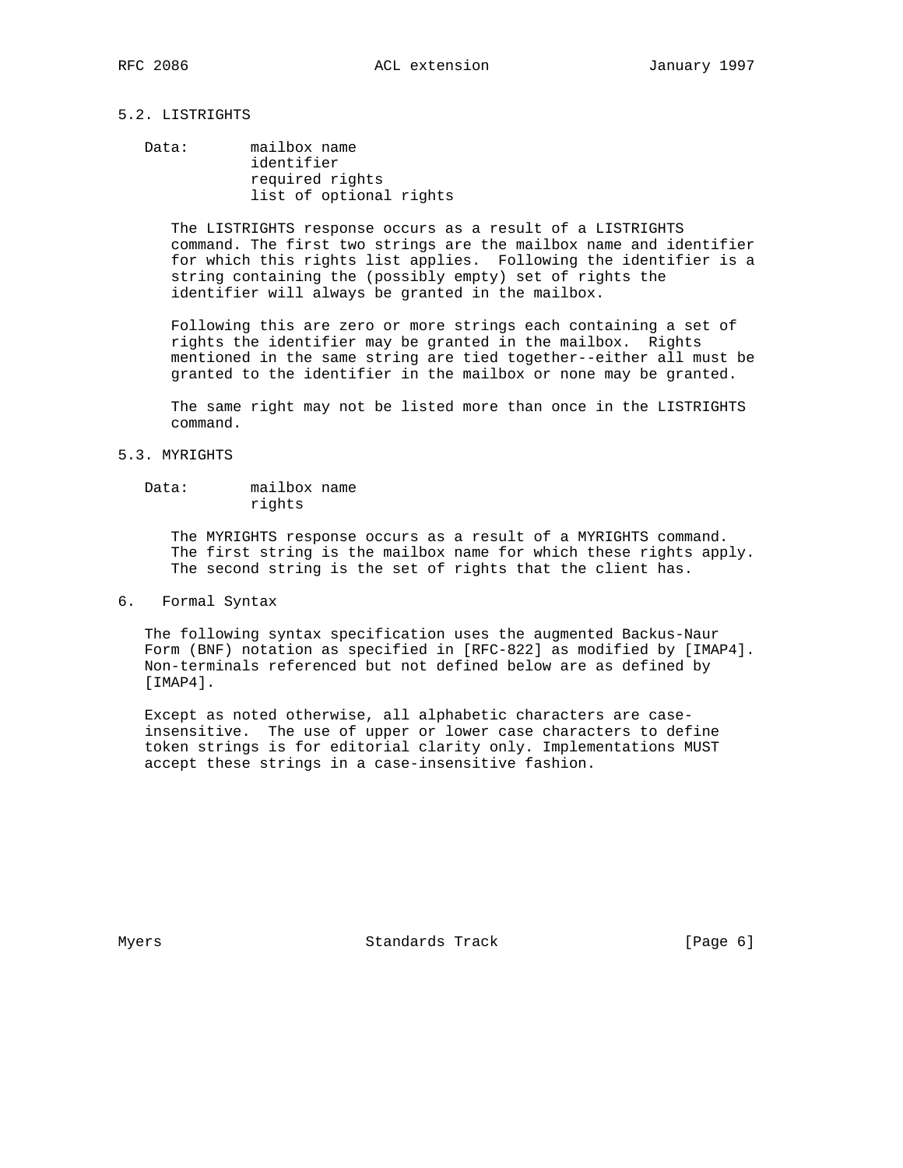## 5.2. LISTRIGHTS

## Data: mailbox name identifier required rights list of optional rights

 The LISTRIGHTS response occurs as a result of a LISTRIGHTS command. The first two strings are the mailbox name and identifier for which this rights list applies. Following the identifier is a string containing the (possibly empty) set of rights the identifier will always be granted in the mailbox.

 Following this are zero or more strings each containing a set of rights the identifier may be granted in the mailbox. Rights mentioned in the same string are tied together--either all must be granted to the identifier in the mailbox or none may be granted.

 The same right may not be listed more than once in the LISTRIGHTS command.

#### 5.3. MYRIGHTS

## Data: mailbox name rights

 The MYRIGHTS response occurs as a result of a MYRIGHTS command. The first string is the mailbox name for which these rights apply. The second string is the set of rights that the client has.

#### 6. Formal Syntax

 The following syntax specification uses the augmented Backus-Naur Form (BNF) notation as specified in [RFC-822] as modified by [IMAP4]. Non-terminals referenced but not defined below are as defined by [IMAP4].

 Except as noted otherwise, all alphabetic characters are case insensitive. The use of upper or lower case characters to define token strings is for editorial clarity only. Implementations MUST accept these strings in a case-insensitive fashion.

Myers **Standards Track** [Page 6]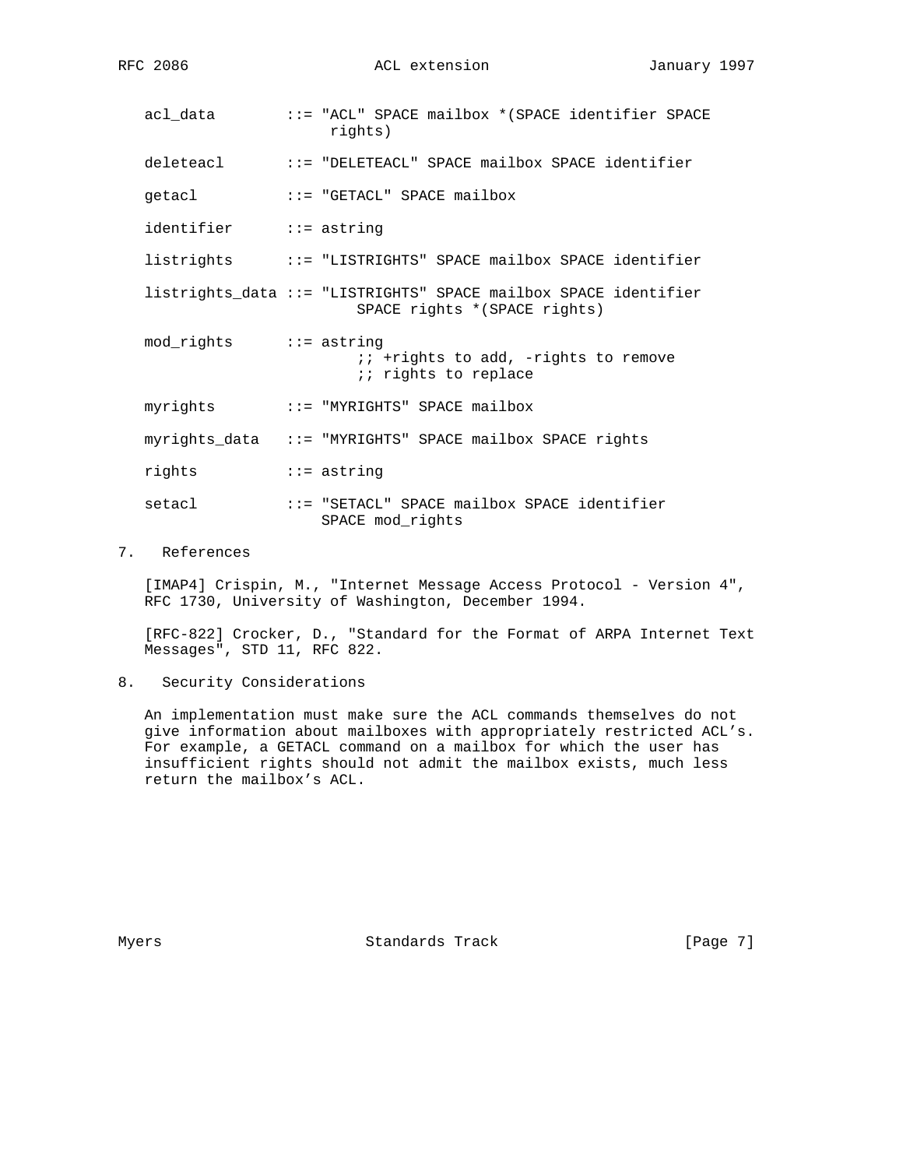acl\_data ::= "ACL" SPACE mailbox \*(SPACE identifier SPACE rights) deleteacl ::= "DELETEACL" SPACE mailbox SPACE identifier getacl ::= "GETACL" SPACE mailbox identifier ::= astring listrights ::= "LISTRIGHTS" SPACE mailbox SPACE identifier listrights\_data ::= "LISTRIGHTS" SPACE mailbox SPACE identifier SPACE rights \*(SPACE rights) mod\_rights ::= astring ;; +rights to add, -rights to remove *i*; rights to replace myrights ::= "MYRIGHTS" SPACE mailbox myrights\_data ::= "MYRIGHTS" SPACE mailbox SPACE rights rights ::= astring setacl ::= "SETACL" SPACE mailbox SPACE identifier SPACE mod\_rights

### 7. References

 [IMAP4] Crispin, M., "Internet Message Access Protocol - Version 4", RFC 1730, University of Washington, December 1994.

 [RFC-822] Crocker, D., "Standard for the Format of ARPA Internet Text Messages", STD 11, RFC 822.

8. Security Considerations

 An implementation must make sure the ACL commands themselves do not give information about mailboxes with appropriately restricted ACL's. For example, a GETACL command on a mailbox for which the user has insufficient rights should not admit the mailbox exists, much less return the mailbox's ACL.

Myers **Standards Track** [Page 7]